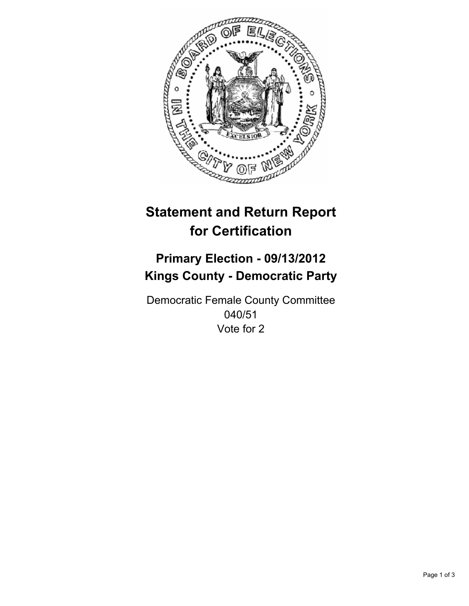

# **Statement and Return Report for Certification**

## **Primary Election - 09/13/2012 Kings County - Democratic Party**

Democratic Female County Committee 040/51 Vote for 2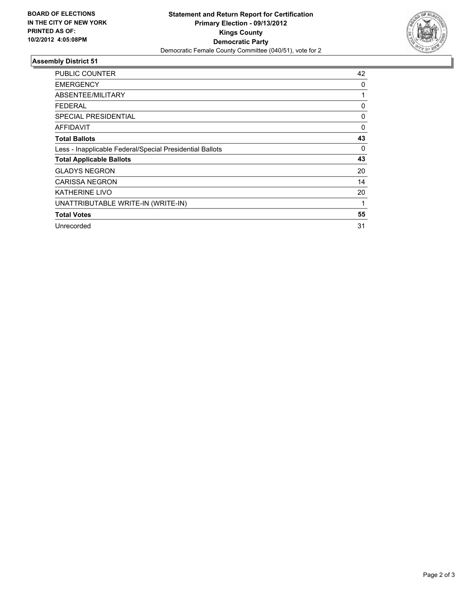

### **Assembly District 51**

| <b>PUBLIC COUNTER</b>                                    | 42 |
|----------------------------------------------------------|----|
| <b>EMERGENCY</b>                                         | 0  |
| ABSENTEE/MILITARY                                        | 1  |
| <b>FEDERAL</b>                                           | 0  |
| <b>SPECIAL PRESIDENTIAL</b>                              | 0  |
| <b>AFFIDAVIT</b>                                         | 0  |
| <b>Total Ballots</b>                                     | 43 |
| Less - Inapplicable Federal/Special Presidential Ballots | 0  |
| <b>Total Applicable Ballots</b>                          | 43 |
| <b>GLADYS NEGRON</b>                                     | 20 |
| <b>CARISSA NEGRON</b>                                    | 14 |
| <b>KATHERINE LIVO</b>                                    | 20 |
| UNATTRIBUTABLE WRITE-IN (WRITE-IN)                       | 1  |
| <b>Total Votes</b>                                       | 55 |
| Unrecorded                                               | 31 |